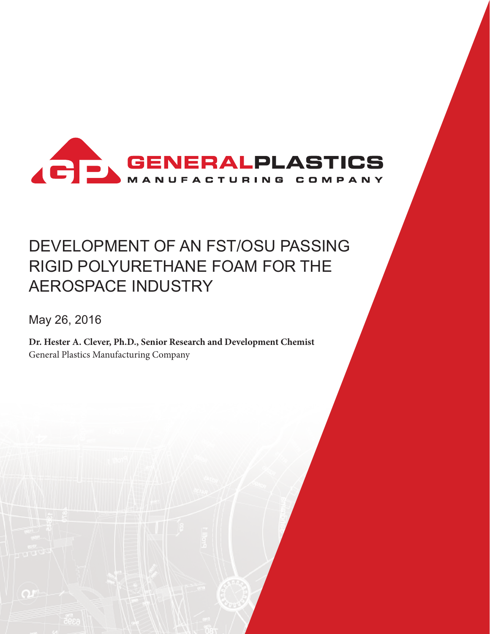

# DEVELOPMENT OF AN FST/OSU PASSING RIGID POLYURETHANE FOAM FOR THE AEROSPACE INDUSTRY

May 26, 2016

**Dr. Hester A. Clever, Ph.D., Senior Research and Development Chemist** General Plastics Manufacturing Company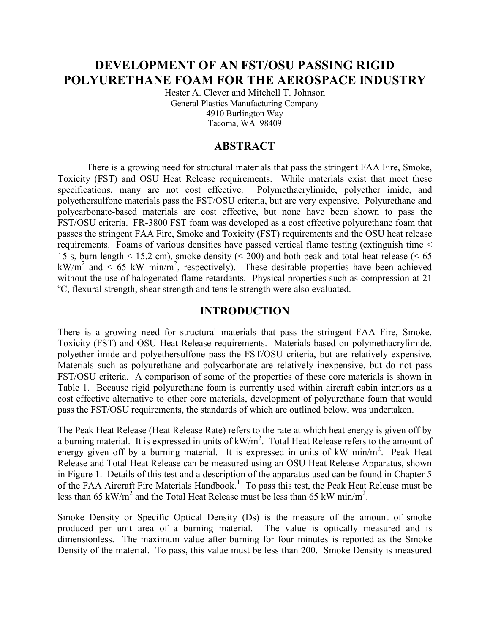# **DEVELOPMENT OF AN FST/OSU PASSING RIGID POLYURETHANE FOAM FOR THE AEROSPACE INDUSTRY**

Hester A. Clever and Mitchell T. Johnson General Plastics Manufacturing Company 4910 Burlington Way Tacoma, WA 98409

### **ABSTRACT**

There is a growing need for structural materials that pass the stringent FAA Fire, Smoke, Toxicity (FST) and OSU Heat Release requirements. While materials exist that meet these specifications, many are not cost effective. Polymethacrylimide, polyether imide, and polyethersulfone materials pass the FST/OSU criteria, but are very expensive. Polyurethane and polycarbonate-based materials are cost effective, but none have been shown to pass the FST/OSU criteria. FR-3800 FST foam was developed as a cost effective polyurethane foam that passes the stringent FAA Fire, Smoke and Toxicity (FST) requirements and the OSU heat release requirements. Foams of various densities have passed vertical flame testing (extinguish time < 15 s, burn length  $\leq$  15.2 cm), smoke density ( $\leq$  200) and both peak and total heat release ( $\leq$  65 kW/m<sup>2</sup> and < 65 kW min/m<sup>2</sup>, respectively). These desirable properties have been achieved without the use of halogenated flame retardants. Physical properties such as compression at 21 <sup>o</sup>C, flexural strength, shear strength and tensile strength were also evaluated.

#### **INTRODUCTION**

There is a growing need for structural materials that pass the stringent FAA Fire, Smoke, Toxicity (FST) and OSU Heat Release requirements. Materials based on polymethacrylimide, polyether imide and polyethersulfone pass the FST/OSU criteria, but are relatively expensive. Materials such as polyurethane and polycarbonate are relatively inexpensive, but do not pass FST/OSU criteria. A comparison of some of the properties of these core materials is shown in Table 1. Because rigid polyurethane foam is currently used within aircraft cabin interiors as a cost effective alternative to other core materials, development of polyurethane foam that would pass the FST/OSU requirements, the standards of which are outlined below, was undertaken.

The Peak Heat Release (Heat Release Rate) refers to the rate at which heat energy is given off by a burning material. It is expressed in units of  $kW/m^2$ . Total Heat Release refers to the amount of energy given off by a burning material. It is expressed in units of kW min/m<sup>2</sup>. Peak Heat Release and Total Heat Release can be measured using an OSU Heat Release Apparatus, shown in Figure 1. Details of this test and a description of the apparatus used can be found in Chapter 5 of the FAA Aircraft Fire Materials Handbook.<sup>1</sup> To pass this test, the Peak Heat Release must be less than 65 kW/m<sup>2</sup> and the Total Heat Release must be less than 65 kW min/m<sup>2</sup>.

Smoke Density or Specific Optical Density (Ds) is the measure of the amount of smoke produced per unit area of a burning material. The value is optically measured and is dimensionless. The maximum value after burning for four minutes is reported as the Smoke Density of the material. To pass, this value must be less than 200. Smoke Density is measured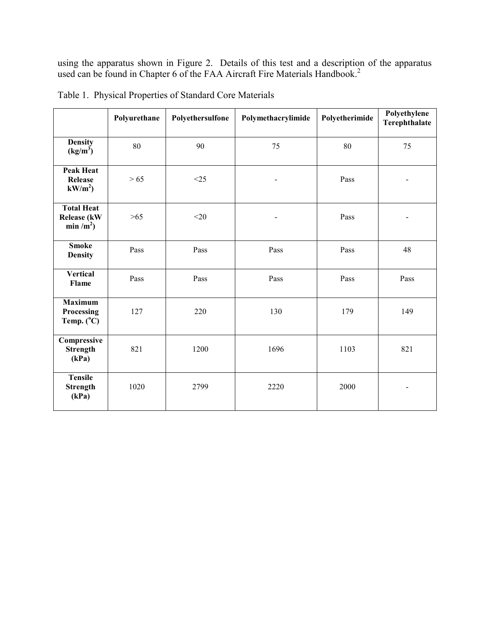using the apparatus shown in Figure 2. Details of this test and a description of the apparatus used can be found in Chapter 6 of the FAA Aircraft Fire Materials Handbook.<sup>2</sup>

|                                                                   | Polyurethane | Polyethersulfone | Polymethacrylimide | Polyetherimide | Polyethylene<br>Terephthalate |
|-------------------------------------------------------------------|--------------|------------------|--------------------|----------------|-------------------------------|
| <b>Density</b><br>(kg/m <sup>3</sup> )                            | 80           | 90               | 75                 | 80             | 75                            |
| <b>Peak Heat</b><br><b>Release</b><br>$kW/m^2$                    | $>65$        | $<$ 25           |                    | Pass           |                               |
| <b>Total Heat</b><br><b>Release (kW</b><br>min / m <sup>2</sup> ) | $>65$        | $<$ 20           |                    | Pass           |                               |
| <b>Smoke</b><br><b>Density</b>                                    | Pass         | Pass             | Pass               | Pass           | 48                            |
| <b>Vertical</b><br>Flame                                          | Pass         | Pass             | Pass               | Pass           | Pass                          |
| <b>Maximum</b><br>Processing<br>Temp. $(^{\circ}C)$               | 127          | 220              | 130                | 179            | 149                           |
| Compressive<br><b>Strength</b><br>(kPa)                           | 821          | 1200             | 1696               | 1103           | 821                           |
| <b>Tensile</b><br><b>Strength</b><br>(kPa)                        | 1020         | 2799             | 2220               | 2000           |                               |

Table 1. Physical Properties of Standard Core Materials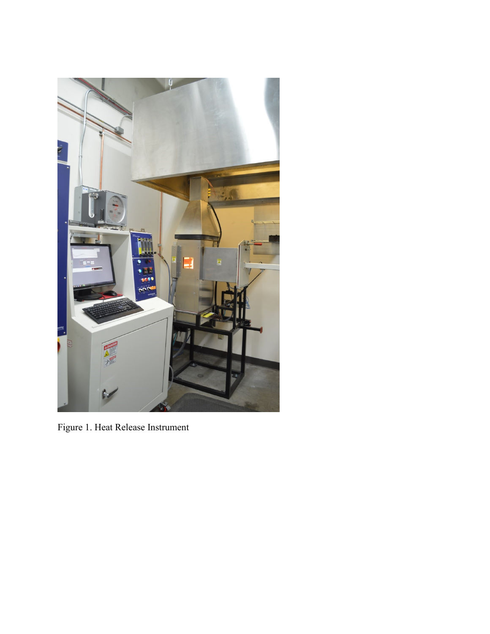

Figure 1. Heat Release Instrument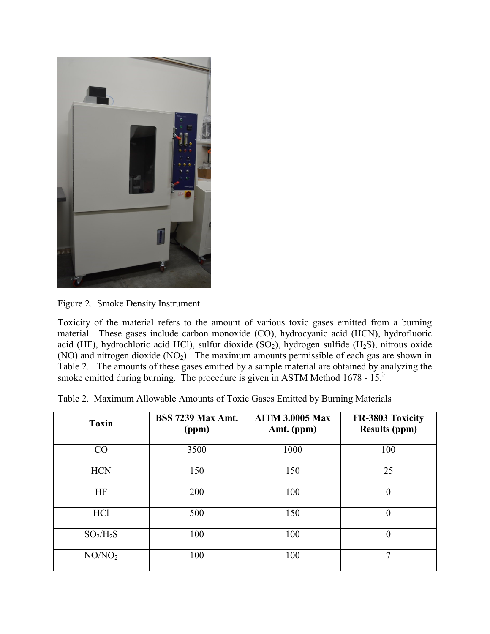

Figure 2. Smoke Density Instrument

Toxicity of the material refers to the amount of various toxic gases emitted from a burning material. These gases include carbon monoxide (CO), hydrocyanic acid (HCN), hydrofluoric acid (HF), hydrochloric acid HCl), sulfur dioxide  $(SO<sub>2</sub>)$ , hydrogen sulfide  $(H<sub>2</sub>S)$ , nitrous oxide  $(NO)$  and nitrogen dioxide  $(NO<sub>2</sub>)$ . The maximum amounts permissible of each gas are shown in Table 2. The amounts of these gases emitted by a sample material are obtained by analyzing the smoke emitted during burning. The procedure is given in ASTM Method  $1678 - 15$ <sup>3</sup>

|  |  | Table 2. Maximum Allowable Amounts of Toxic Gases Emitted by Burning Materials |  |  |  |  |  |  |  |  |
|--|--|--------------------------------------------------------------------------------|--|--|--|--|--|--|--|--|
|--|--|--------------------------------------------------------------------------------|--|--|--|--|--|--|--|--|

| <b>Toxin</b>       | <b>BSS 7239 Max Amt.</b><br>(ppm) | <b>AITM 3.0005 Max</b><br>Amt. (ppm) | FR-3803 Toxicity<br><b>Results (ppm)</b> |
|--------------------|-----------------------------------|--------------------------------------|------------------------------------------|
| CO                 | 3500                              | 1000                                 | 100                                      |
| <b>HCN</b>         | 150                               | 150                                  | 25                                       |
| HF                 | 200                               | 100                                  | $\theta$                                 |
| HC <sub>1</sub>    | 500                               | 150                                  | $\theta$                                 |
| $SO_2/H_2S$        | 100                               | 100                                  | $\theta$                                 |
| NO/NO <sub>2</sub> | 100                               | 100                                  | 7                                        |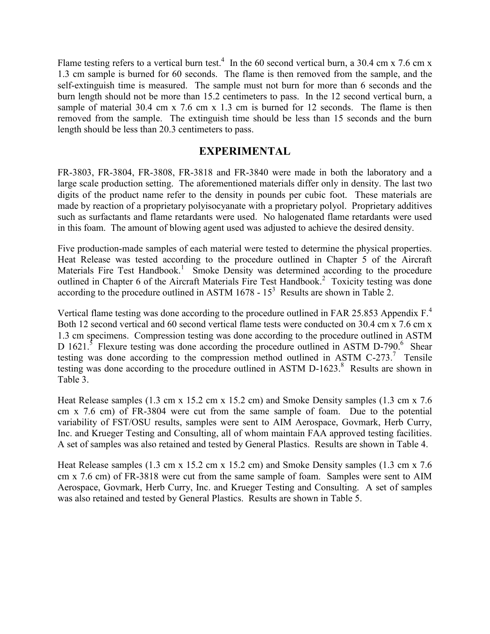Flame testing refers to a vertical burn test.<sup>4</sup> In the 60 second vertical burn, a 30.4 cm x 7.6 cm x 1.3 cm sample is burned for 60 seconds. The flame is then removed from the sample, and the self-extinguish time is measured. The sample must not burn for more than 6 seconds and the burn length should not be more than 15.2 centimeters to pass. In the 12 second vertical burn, a sample of material 30.4 cm x 7.6 cm x 1.3 cm is burned for 12 seconds. The flame is then removed from the sample. The extinguish time should be less than 15 seconds and the burn length should be less than 20.3 centimeters to pass.

## **EXPERIMENTAL**

FR-3803, FR-3804, FR-3808, FR-3818 and FR-3840 were made in both the laboratory and a large scale production setting. The aforementioned materials differ only in density. The last two digits of the product name refer to the density in pounds per cubic foot. These materials are made by reaction of a proprietary polyisocyanate with a proprietary polyol. Proprietary additives such as surfactants and flame retardants were used. No halogenated flame retardants were used in this foam. The amount of blowing agent used was adjusted to achieve the desired density.

Five production-made samples of each material were tested to determine the physical properties. Heat Release was tested according to the procedure outlined in Chapter 5 of the Aircraft Materials Fire Test Handbook.<sup>1</sup> Smoke Density was determined according to the procedure outlined in Chapter 6 of the Aircraft Materials Fire Test Handbook.<sup>2</sup> Toxicity testing was done according to the procedure outlined in ASTM 1678 -  $15<sup>3</sup>$  Results are shown in Table 2.

Vertical flame testing was done according to the procedure outlined in FAR 25.853 Appendix  $F<sup>4</sup>$ . Both 12 second vertical and 60 second vertical flame tests were conducted on 30.4 cm x 7.6 cm x 1.3 cm specimens. Compression testing was done according to the procedure outlined in ASTM D 1621.<sup>5</sup> Flexure testing was done according the procedure outlined in ASTM D-790.<sup>6</sup> Shear testing was done according to the compression method outlined in ASTM C-273.<sup>7</sup> Tensile testing was done according to the procedure outlined in ASTM D-1623. 8 Results are shown in Table 3.

Heat Release samples (1.3 cm x 15.2 cm x 15.2 cm) and Smoke Density samples (1.3 cm x 7.6 cm x 7.6 cm) of FR-3804 were cut from the same sample of foam. Due to the potential variability of FST/OSU results, samples were sent to AIM Aerospace, Govmark, Herb Curry, Inc. and Krueger Testing and Consulting, all of whom maintain FAA approved testing facilities. A set of samples was also retained and tested by General Plastics. Results are shown in Table 4.

Heat Release samples (1.3 cm x 15.2 cm x 15.2 cm) and Smoke Density samples (1.3 cm x 7.6 cm x 7.6 cm) of FR-3818 were cut from the same sample of foam. Samples were sent to AIM Aerospace, Govmark, Herb Curry, Inc. and Krueger Testing and Consulting. A set of samples was also retained and tested by General Plastics. Results are shown in Table 5.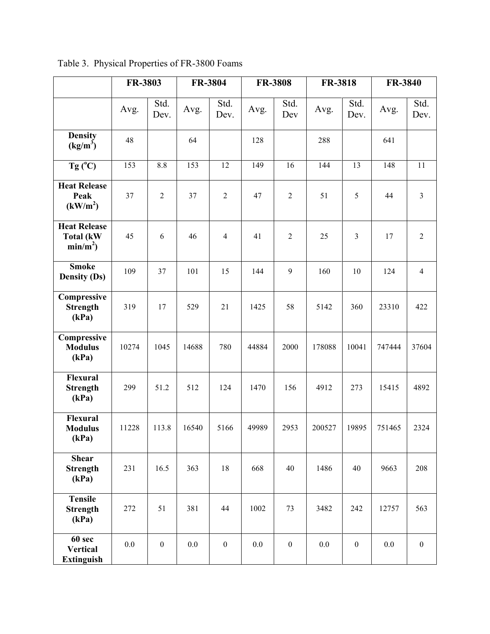|                                                        | FR-3803 |                  |         | FR-3804          |       | <b>FR-3808</b>   | <b>FR-3818</b> |                  | FR-3840 |                  |
|--------------------------------------------------------|---------|------------------|---------|------------------|-------|------------------|----------------|------------------|---------|------------------|
|                                                        | Avg.    | Std.<br>Dev.     | Avg.    | Std.<br>Dev.     | Avg.  | Std.<br>Dev      | Avg.           | Std.<br>Dev.     | Avg.    | Std.<br>Dev.     |
| <b>Density</b><br>$(kg/m^3)$                           | 48      |                  | 64      |                  | 128   |                  | 288            |                  | 641     |                  |
| $Tg(^{\circ}C)$                                        | 153     | 8.8              | 153     | 12               | 149   | 16               | 144            | 13               | 148     | 11               |
| <b>Heat Release</b><br>Peak<br>(kW/m <sup>2</sup> )    | 37      | $\overline{2}$   | 37      | $\overline{2}$   | 47    | $\overline{2}$   | 51             | 5                | 44      | $\overline{3}$   |
| <b>Heat Release</b><br><b>Total (kW)</b><br>$min/m2$ ) | 45      | 6                | 46      | $\overline{4}$   | 41    | $\overline{2}$   | 25             | $\overline{3}$   | 17      | $\boldsymbol{2}$ |
| <b>Smoke</b><br><b>Density (Ds)</b>                    | 109     | 37               | 101     | 15               | 144   | 9                | 160            | 10               | 124     | $\overline{4}$   |
| Compressive<br><b>Strength</b><br>(kPa)                | 319     | 17               | 529     | 21               | 1425  | 58               | 5142           | 360              | 23310   | 422              |
| Compressive<br><b>Modulus</b><br>(kPa)                 | 10274   | 1045             | 14688   | 780              | 44884 | 2000             | 178088         | 10041            | 747444  | 37604            |
| <b>Flexural</b><br><b>Strength</b><br>(kPa)            | 299     | 51.2             | 512     | 124              | 1470  | 156              | 4912           | 273              | 15415   | 4892             |
| <b>Flexural</b><br><b>Modulus</b><br>(kPa)             | 11228   | 113.8            | 16540   | 5166             | 49989 | 2953             | 200527         | 19895            | 751465  | 2324             |
| <b>Shear</b><br><b>Strength</b><br>(kPa)               | 231     | 16.5             | 363     | 18               | 668   | 40               | 1486           | 40               | 9663    | 208              |
| <b>Tensile</b><br><b>Strength</b><br>(kPa)             | 272     | 51               | 381     | 44               | 1002  | 73               | 3482           | 242              | 12757   | 563              |
| 60 sec<br><b>Vertical</b><br><b>Extinguish</b>         | $0.0\,$ | $\boldsymbol{0}$ | $0.0\,$ | $\boldsymbol{0}$ | 0.0   | $\boldsymbol{0}$ | 0.0            | $\boldsymbol{0}$ | 0.0     | $\boldsymbol{0}$ |

Table 3. Physical Properties of FR-3800 Foams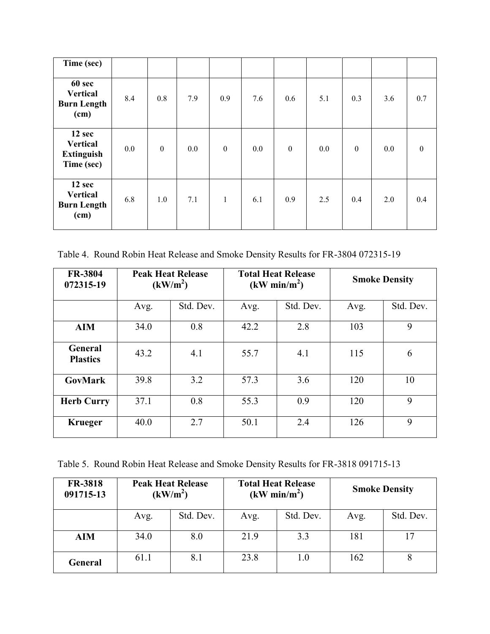| Time (sec)                                                   |     |                  |         |                  |     |                  |     |                  |     |                  |
|--------------------------------------------------------------|-----|------------------|---------|------------------|-----|------------------|-----|------------------|-----|------------------|
| 60 sec<br><b>Vertical</b><br><b>Burn Length</b><br>(cm)      | 8.4 | 0.8              | 7.9     | 0.9              | 7.6 | 0.6              | 5.1 | 0.3              | 3.6 | 0.7              |
| 12 sec<br><b>Vertical</b><br><b>Extinguish</b><br>Time (sec) | 0.0 | $\boldsymbol{0}$ | $0.0\,$ | $\boldsymbol{0}$ | 0.0 | $\boldsymbol{0}$ | 0.0 | $\boldsymbol{0}$ | 0.0 | $\boldsymbol{0}$ |
| 12 sec<br><b>Vertical</b><br><b>Burn Length</b><br>(cm)      | 6.8 | 1.0              | 7.1     | $\mathbf{1}$     | 6.1 | 0.9              | 2.5 | 0.4              | 2.0 | 0.4              |

Table 4. Round Robin Heat Release and Smoke Density Results for FR-3804 072315-19

| <b>FR-3804</b><br>072315-19       | <b>Peak Heat Release</b><br>(kW/m <sup>2</sup> ) |           | <b>Total Heat Release</b><br>(kW min/m <sup>2</sup> ) |           |      | <b>Smoke Density</b> |
|-----------------------------------|--------------------------------------------------|-----------|-------------------------------------------------------|-----------|------|----------------------|
|                                   | Avg.                                             | Std. Dev. | Avg.                                                  | Std. Dev. | Avg. | Std. Dev.            |
| <b>AIM</b>                        | 34.0                                             | 0.8       | 42.2                                                  | 2.8       | 103  | 9                    |
| <b>General</b><br><b>Plastics</b> | 43.2                                             | 4.1       | 55.7                                                  | 4.1       | 115  | 6                    |
| <b>GovMark</b>                    | 39.8                                             | 3.2       | 57.3                                                  | 3.6       | 120  | 10                   |
| <b>Herb Curry</b>                 | 37.1                                             | 0.8       | 55.3                                                  | 0.9       | 120  | 9                    |
| <b>Krueger</b>                    | 40.0                                             | 2.7       | 50.1                                                  | 2.4       | 126  | 9                    |

Table 5. Round Robin Heat Release and Smoke Density Results for FR-3818 091715-13

| <b>FR-3818</b><br>091715-13 |      | <b>Peak Heat Release</b><br>(kW/m <sup>2</sup> ) |      | <b>Total Heat Release</b><br>(kW min/m <sup>2</sup> ) |      | <b>Smoke Density</b> |
|-----------------------------|------|--------------------------------------------------|------|-------------------------------------------------------|------|----------------------|
|                             | Avg. | Std. Dev.                                        | Avg. | Std. Dev.                                             | Avg. | Std. Dev.            |
| <b>AIM</b>                  | 34.0 | 8.0                                              | 21.9 | 3.3                                                   | 181  |                      |
| <b>General</b>              | 61.1 | 8.1                                              | 23.8 | 1.0                                                   | 162  |                      |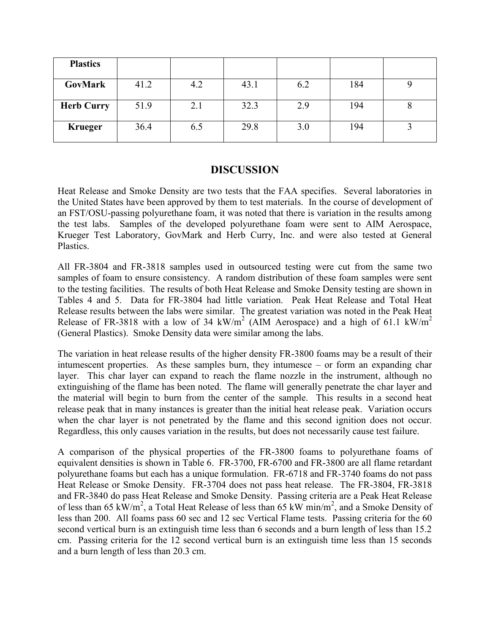| <b>Plastics</b>   |      |     |      |     |     |  |
|-------------------|------|-----|------|-----|-----|--|
| GovMark           | 41.2 | 4.2 | 43.1 | 6.2 | 184 |  |
| <b>Herb Curry</b> | 51.9 | 2.1 | 32.3 | 2.9 | 194 |  |
| <b>Krueger</b>    | 36.4 | 6.5 | 29.8 | 3.0 | 194 |  |

#### **DISCUSSION**

Heat Release and Smoke Density are two tests that the FAA specifies. Several laboratories in the United States have been approved by them to test materials. In the course of development of an FST/OSU-passing polyurethane foam, it was noted that there is variation in the results among the test labs. Samples of the developed polyurethane foam were sent to AIM Aerospace, Krueger Test Laboratory, GovMark and Herb Curry, Inc. and were also tested at General Plastics.

All FR-3804 and FR-3818 samples used in outsourced testing were cut from the same two samples of foam to ensure consistency. A random distribution of these foam samples were sent to the testing facilities. The results of both Heat Release and Smoke Density testing are shown in Tables 4 and 5. Data for FR-3804 had little variation. Peak Heat Release and Total Heat Release results between the labs were similar. The greatest variation was noted in the Peak Heat Release of FR-3818 with a low of 34 kW/m<sup>2</sup> (AIM Aerospace) and a high of 61.1 kW/m<sup>2</sup> (General Plastics). Smoke Density data were similar among the labs.

The variation in heat release results of the higher density FR-3800 foams may be a result of their intumescent properties. As these samples burn, they intumesce – or form an expanding char layer. This char layer can expand to reach the flame nozzle in the instrument, although no extinguishing of the flame has been noted. The flame will generally penetrate the char layer and the material will begin to burn from the center of the sample. This results in a second heat release peak that in many instances is greater than the initial heat release peak. Variation occurs when the char layer is not penetrated by the flame and this second ignition does not occur. Regardless, this only causes variation in the results, but does not necessarily cause test failure.

A comparison of the physical properties of the FR-3800 foams to polyurethane foams of equivalent densities is shown in Table 6. FR-3700, FR-6700 and FR-3800 are all flame retardant polyurethane foams but each has a unique formulation. FR-6718 and FR-3740 foams do not pass Heat Release or Smoke Density. FR-3704 does not pass heat release. The FR-3804, FR-3818 and FR-3840 do pass Heat Release and Smoke Density. Passing criteria are a Peak Heat Release of less than 65 kW/m<sup>2</sup>, a Total Heat Release of less than 65 kW min/m<sup>2</sup>, and a Smoke Density of less than 200. All foams pass 60 sec and 12 sec Vertical Flame tests. Passing criteria for the 60 second vertical burn is an extinguish time less than 6 seconds and a burn length of less than 15.2 cm. Passing criteria for the 12 second vertical burn is an extinguish time less than 15 seconds and a burn length of less than 20.3 cm.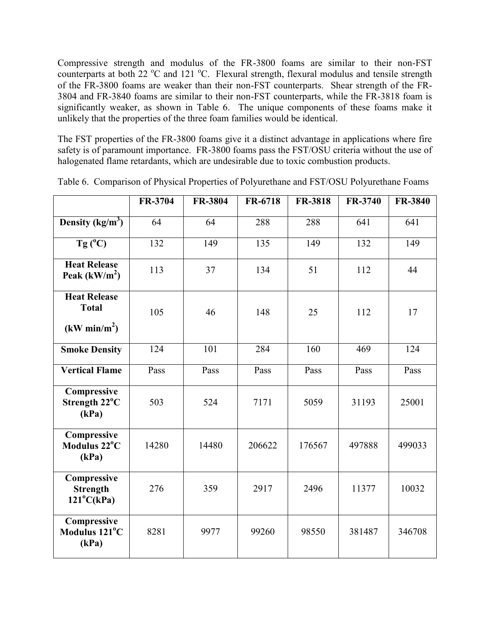Compressive strength and modulus of the FR-3800 foams are similar to their non-FST counterparts at both 22 °C and 121 °C. Flexural strength, flexural modulus and tensile strength of the FR-3800 foams are weaker than their non-FST counterparts. Shear strength of the FR-3804 and FR-3840 foams are similar to their non-FST counterparts, while the FR-3818 foam is significantly weaker, as shown in Table 6. The unique components of these foams make it unlikely that the properties of the three foam families would be identical.

The FST properties of the FR-3800 foams give it a distinct advantage in applications where fire safety is of paramount importance. FR-3800 foams pass the FST/OSU criteria without the use of halogenated flame retardants, which are undesirable due to toxic combustion products.

|                                                       | FR-3704 | FR-3804 | FR-6718 | <b>FR-3818</b> | FR-3740 | FR-3840 |
|-------------------------------------------------------|---------|---------|---------|----------------|---------|---------|
| Density $(kg/m^3)$                                    | 64      | 64      | 288     | 288            | 641     | 641     |
| Tg $(^{\circ}C)$                                      | 132     | 149     | 135     | 149            | 132     | 149     |
| <b>Heat Release</b><br>Peak $(kW/m2)$                 | 113     | 37      | 134     | 51             | 112     | 44      |
| <b>Heat Release</b><br><b>Total</b>                   | 105     | 46      | 148     | 25             | 112     | 17      |
| (kW min/m <sup>2</sup> )                              |         |         |         |                |         |         |
| <b>Smoke Density</b>                                  | 124     | 101     | 284     | 160            | 469     | 124     |
| <b>Vertical Flame</b>                                 | Pass    | Pass    | Pass    | Pass           | Pass    | Pass    |
| Compressive<br>Strength 22°C<br>(kPa)                 | 503     | 524     | 7171    | 5059           | 31193   | 25001   |
| Compressive<br>Modulus 22°C<br>(kPa)                  | 14280   | 14480   | 206622  | 176567         | 497888  | 499033  |
| Compressive<br><b>Strength</b><br>$121^{\circ}C(kPa)$ | 276     | 359     | 2917    | 2496           | 11377   | 10032   |
| Compressive<br>Modulus 121°C<br>(kPa)                 | 8281    | 9977    | 99260   | 98550          | 381487  | 346708  |

Table 6. Comparison of Physical Properties of Polyurethane and FST/OSU Polyurethane Foams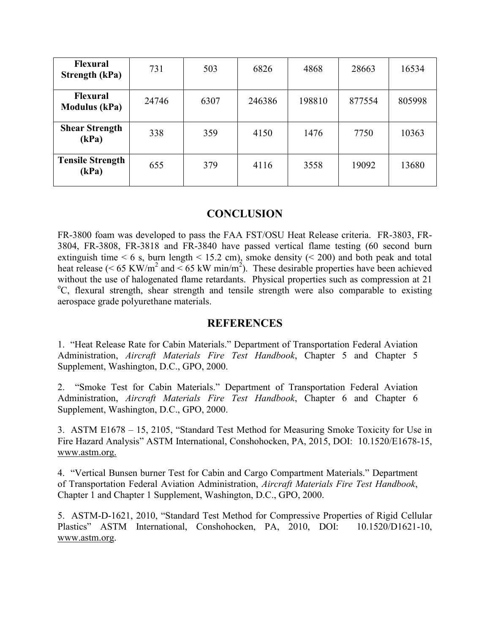| <b>Flexural</b><br><b>Strength (kPa)</b> | 731   | 503  | 6826   | 4868   | 28663  | 16534  |
|------------------------------------------|-------|------|--------|--------|--------|--------|
| Flexural<br><b>Modulus</b> (kPa)         | 24746 | 6307 | 246386 | 198810 | 877554 | 805998 |
| <b>Shear Strength</b><br>(kPa)           | 338   | 359  | 4150   | 1476   | 7750   | 10363  |
| <b>Tensile Strength</b><br>(kPa)         | 655   | 379  | 4116   | 3558   | 19092  | 13680  |

# **CONCLUSION**

FR-3800 foam was developed to pass the FAA FST/OSU Heat Release criteria. FR-3803, FR-3804, FR-3808, FR-3818 and FR-3840 have passed vertical flame testing (60 second burn extinguish time  $<$  6 s, burn length  $<$  15.2 cm), smoke density ( $<$  200) and both peak and total heat release (< 65 KW/m<sup>2</sup> and < 65 kW min/m<sup>2</sup>). These desirable properties have been achieved without the use of halogenated flame retardants. Physical properties such as compression at 21 <sup>o</sup>C, flexural strength, shear strength and tensile strength were also comparable to existing aerospace grade polyurethane materials.

#### **REFERENCES**

1. "Heat Release Rate for Cabin Materials." Department of Transportation Federal Aviation Administration, *Aircraft Materials Fire Test Handbook*, Chapter 5 and Chapter 5 Supplement, Washington, D.C., GPO, 2000.

2. "Smoke Test for Cabin Materials." Department of Transportation Federal Aviation Administration, *Aircraft Materials Fire Test Handbook*, Chapter 6 and Chapter 6 Supplement, Washington, D.C., GPO, 2000.

3. ASTM E1678 – 15, 2105, "Standard Test Method for Measuring Smoke Toxicity for Use in Fire Hazard Analysis" ASTM International, Conshohocken, PA, 2015, DOI: 10.1520/E1678-15, www.astm.org.

4. "Vertical Bunsen burner Test for Cabin and Cargo Compartment Materials." Department of Transportation Federal Aviation Administration, *Aircraft Materials Fire Test Handbook*, Chapter 1 and Chapter 1 Supplement, Washington, D.C., GPO, 2000.

5. ASTM-D-1621, 2010, "Standard Test Method for Compressive Properties of Rigid Cellular Plastics" ASTM International, Conshohocken, PA, 2010, DOI: 10.1520/D1621-10, www.astm.org.